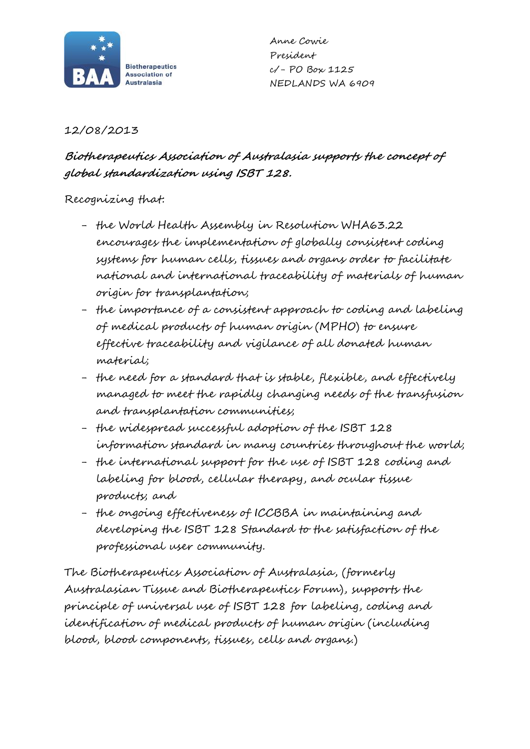

Anne Cowie President c/- PO Box 1125 NEDLANDS WA 6909

## 12/08/2013

## **Biotherapeutics Association of Australasia supports the concept of global standardization using ISBT 128.**

## Recognizing that:

- the World Health Assembly in Resolution WHA63.22 encourages the implementation of globally consistent coding systems for human cells, tissues and organs order to facilitate national and international traceability of materials of human origin for transplantation;
- the importance of a consistent approach to coding and labeling of medical products of human origin (MPHO) to ensure effective traceability and vigilance of all donated human material;
- the need for a standard that is stable, flexible, and effectively managed to meet the rapidly changing needs of the transfusion and transplantation communities;
- the widespread successful adoption of the ISBT 128 information standard in many countries throughout the world;
- the international support for the use of ISBT 128 coding and labeling for blood, cellular therapy, and ocular tissue products; and
- the ongoing effectiveness of ICCBBA in maintaining and developing the ISBT 128 Standard to the satisfaction of the professional user community.

The Biotherapeutics Association of Australasia, (formerly Australasian Tissue and Biotherapeutics Forum), supports the principle of universal use of ISBT 128 for labeling, coding and identification of medical products of human origin (including blood, blood components, tissues, cells and organs.)